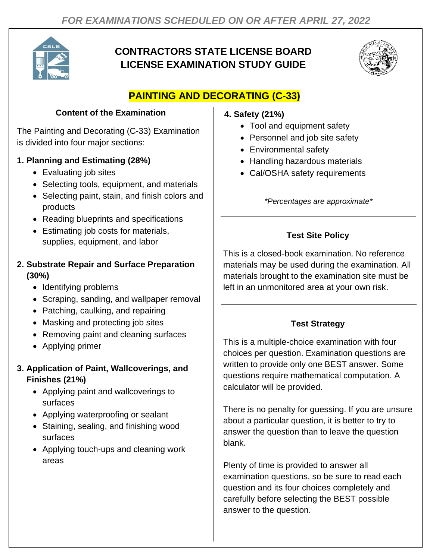

# **CONTRACTORS STATE LICENSE BOARD LICENSE EXAMINATION STUDY GUIDE**



# **PAINTING AND DECORATING (C-33)**

### **Content of the Examination**

The Painting and Decorating (C-33) Examination is divided into four major sections:

# **1. Planning and Estimating (28%)**

- Evaluating job sites
- Selecting tools, equipment, and materials
- Selecting paint, stain, and finish colors and products
- Reading blueprints and specifications
- Estimating job costs for materials, supplies, equipment, and labor

#### **2. Substrate Repair and Surface Preparation (30%)**

- Identifying problems
- Scraping, sanding, and wallpaper removal
- Patching, caulking, and repairing
- Masking and protecting job sites
- Removing paint and cleaning surfaces
- Applying primer

#### **3. Application of Paint, Wallcoverings, and Finishes (21%)**

- Applying paint and wallcoverings to surfaces
- Applying waterproofing or sealant
- Staining, sealing, and finishing wood surfaces
- Applying touch-ups and cleaning work areas

### **4. Safety (21%)**

- Tool and equipment safety
- Personnel and job site safety
- Environmental safety
- Handling hazardous materials
- Cal/OSHA safety requirements

*\*Percentages are approximate\**

# **Test Site Policy**

This is a closed-book examination. No reference materials may be used during the examination. All materials brought to the examination site must be left in an unmonitored area at your own risk.

# **Test Strategy**

This is a multiple-choice examination with four choices per question. Examination questions are written to provide only one BEST answer. Some questions require mathematical computation. A calculator will be provided.

There is no penalty for guessing. If you are unsure about a particular question, it is better to try to answer the question than to leave the question blank.

Plenty of time is provided to answer all examination questions, so be sure to read each question and its four choices completely and carefully before selecting the BEST possible answer to the question.